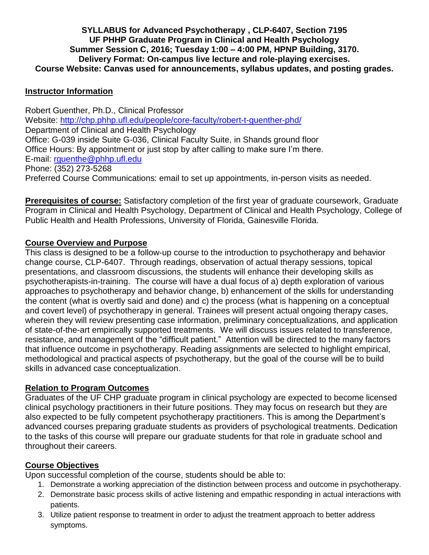### **SYLLABUS for Advanced Psychotherapy , CLP-6407, Section 7195 UF PHHP Graduate Program in Clinical and Health Psychology Summer Session C, 2016; Tuesday 1:00 – 4:00 PM, HPNP Building, 3170. Delivery Format: On-campus live lecture and role-playing exercises. Course Website: Canvas used for announcements, syllabus updates, and posting grades.**

#### **Instructor Information**

Robert Guenther, Ph.D., Clinical Professor Website:<http://chp.phhp.ufl.edu/people/core-faculty/robert-t-guenther-phd/> Department of Clinical and Health Psychology Office: G-039 inside Suite G-036, Clinical Faculty Suite, in Shands ground floor Office Hours: By appointment or just stop by after calling to make sure I'm there. E-mail: [rguenthe@phhp.ufl.edu](mailto:rguenthe@phhp.ufl.edu) Phone: (352) 273-5268 Preferred Course Communications: email to set up appointments, in-person visits as needed.

**Prerequisites of course:** Satisfactory completion of the first year of graduate coursework, Graduate Program in Clinical and Health Psychology, Department of Clinical and Health Psychology, College of Public Health and Health Professions, University of Florida, Gainesville Florida.

### **Course Overview and Purpose**

This class is designed to be a follow-up course to the introduction to psychotherapy and behavior change course, CLP-6407. Through readings, observation of actual therapy sessions, topical presentations, and classroom discussions, the students will enhance their developing skills as psychotherapists-in-training. The course will have a dual focus of a) depth exploration of various approaches to psychotherapy and behavior change, b) enhancement of the skills for understanding the content (what is overtly said and done) and c) the process (what is happening on a conceptual and covert level) of psychotherapy in general. Trainees will present actual ongoing therapy cases, wherein they will review presenting case information, preliminary conceptualizations, and application of state-of-the-art empirically supported treatments. We will discuss issues related to transference, resistance, and management of the "difficult patient." Attention will be directed to the many factors that influence outcome in psychotherapy. Reading assignments are selected to highlight empirical, methodological and practical aspects of psychotherapy, but the goal of the course will be to build skills in advanced case conceptualization.

#### **Relation to Program Outcomes**

Graduates of the UF CHP graduate program in clinical psychology are expected to become licensed clinical psychology practitioners in their future positions. They may focus on research but they are also expected to be fully competent psychotherapy practitioners. This is among the Department's advanced courses preparing graduate students as providers of psychological treatments. Dedication to the tasks of this course will prepare our graduate students for that role in graduate school and throughout their careers.

# **Course Objectives**

Upon successful completion of the course, students should be able to:

- 1. Demonstrate a working appreciation of the distinction between process and outcome in psychotherapy.
- 2. Demonstrate basic process skills of active listening and empathic responding in actual interactions with patients.
- 3. Utilize patient response to treatment in order to adjust the treatment approach to better address symptoms.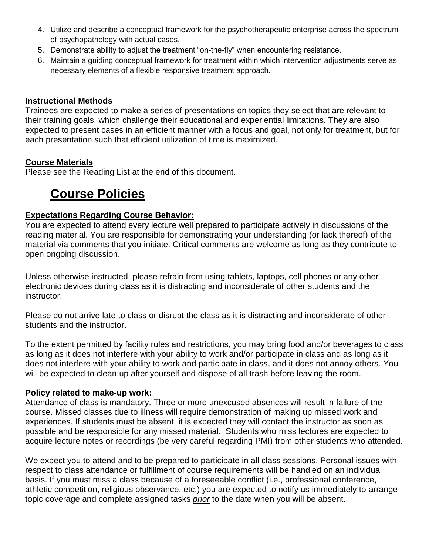- 4. Utilize and describe a conceptual framework for the psychotherapeutic enterprise across the spectrum of psychopathology with actual cases.
- 5. Demonstrate ability to adjust the treatment "on-the-fly" when encountering resistance.
- 6. Maintain a guiding conceptual framework for treatment within which intervention adjustments serve as necessary elements of a flexible responsive treatment approach.

#### **Instructional Methods**

Trainees are expected to make a series of presentations on topics they select that are relevant to their training goals, which challenge their educational and experiential limitations. They are also expected to present cases in an efficient manner with a focus and goal, not only for treatment, but for each presentation such that efficient utilization of time is maximized.

### **Course Materials**

Please see the Reading List at the end of this document.

# **Course Policies**

# **Expectations Regarding Course Behavior:**

You are expected to attend every lecture well prepared to participate actively in discussions of the reading material. You are responsible for demonstrating your understanding (or lack thereof) of the material via comments that you initiate. Critical comments are welcome as long as they contribute to open ongoing discussion.

Unless otherwise instructed, please refrain from using tablets, laptops, cell phones or any other electronic devices during class as it is distracting and inconsiderate of other students and the instructor.

Please do not arrive late to class or disrupt the class as it is distracting and inconsiderate of other students and the instructor.

To the extent permitted by facility rules and restrictions, you may bring food and/or beverages to class as long as it does not interfere with your ability to work and/or participate in class and as long as it does not interfere with your ability to work and participate in class, and it does not annoy others. You will be expected to clean up after yourself and dispose of all trash before leaving the room.

#### **Policy related to make-up work:**

Attendance of class is mandatory. Three or more unexcused absences will result in failure of the course. Missed classes due to illness will require demonstration of making up missed work and experiences. If students must be absent, it is expected they will contact the instructor as soon as possible and be responsible for any missed material. Students who miss lectures are expected to acquire lecture notes or recordings (be very careful regarding PMI) from other students who attended.

We expect you to attend and to be prepared to participate in all class sessions. Personal issues with respect to class attendance or fulfillment of course requirements will be handled on an individual basis. If you must miss a class because of a foreseeable conflict (i.e., professional conference, athletic competition, religious observance, etc.) you are expected to notify us immediately to arrange topic coverage and complete assigned tasks *prior* to the date when you will be absent.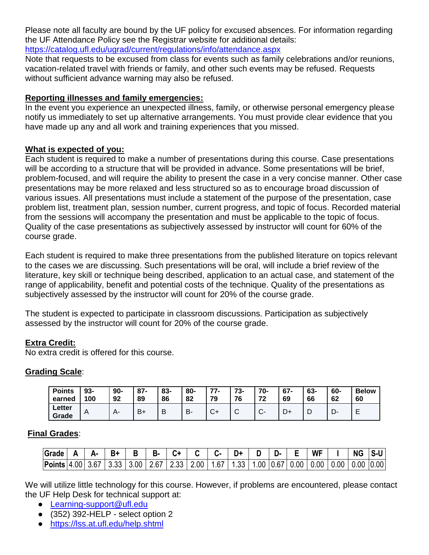Please note all faculty are bound by the UF policy for excused absences. For information regarding the UF Attendance Policy see the Registrar website for additional details:

<https://catalog.ufl.edu/ugrad/current/regulations/info/attendance.aspx>

Note that requests to be excused from class for events such as family celebrations and/or reunions, vacation-related travel with friends or family, and other such events may be refused. Requests without sufficient advance warning may also be refused.

### **Reporting illnesses and family emergencies:**

In the event you experience an unexpected illness, family, or otherwise personal emergency please notify us immediately to set up alternative arrangements. You must provide clear evidence that you have made up any and all work and training experiences that you missed.

### **What is expected of you:**

Each student is required to make a number of presentations during this course. Case presentations will be according to a structure that will be provided in advance. Some presentations will be brief, problem-focused, and will require the ability to present the case in a very concise manner. Other case presentations may be more relaxed and less structured so as to encourage broad discussion of various issues. All presentations must include a statement of the purpose of the presentation, case problem list, treatment plan, session number, current progress, and topic of focus. Recorded material from the sessions will accompany the presentation and must be applicable to the topic of focus. Quality of the case presentations as subjectively assessed by instructor will count for 60% of the course grade.

Each student is required to make three presentations from the published literature on topics relevant to the cases we are discussing. Such presentations will be oral, will include a brief review of the literature, key skill or technique being described, application to an actual case, and statement of the range of applicability, benefit and potential costs of the technique. Quality of the presentations as subjectively assessed by the instructor will count for 20% of the course grade.

The student is expected to participate in classroom discussions. Participation as subjectively assessed by the instructor will count for 20% of the course grade.

# **Extra Credit:**

No extra credit is offered for this course.

# **Grading Scale**:

| <b>Points</b><br>earned | $93 -$<br>100  | $90 -$<br>92 | $87 -$<br>89 | 83-<br>86 | 80-<br>82 | 77.<br>79 | 73-<br>76 | $70-$<br>72<br>1 Z     | $67 -$<br>69 | 63-<br>66 | 60-<br>62 | <b>Below</b><br>60 |
|-------------------------|----------------|--------------|--------------|-----------|-----------|-----------|-----------|------------------------|--------------|-----------|-----------|--------------------|
| Letter<br>Grade         | $\overline{A}$ |              | В+           | В         | В-        | ◡┑        | ⌒<br>ັ    | $\sim$<br>$\mathbf{v}$ | -<br>◡       | ┕         | D-        | -                  |

# **Final Grades**:

| Grade                                                    | Д. |      |      | R.   |      |      |      |      |  | <b>WF</b>                 | <b>NG</b>            | S-U |
|----------------------------------------------------------|----|------|------|------|------|------|------|------|--|---------------------------|----------------------|-----|
| $\left  \frac{\text{Points}}{\text{14.00}} \right  3.67$ |    | 3.33 | 3.00 | 2.67 | 2.33 | 2.00 | 1.67 | 1.33 |  | 1.00   0.67   0.00   0.00 | $0.00$   0.00   0.00 |     |

We will utilize little technology for this course. However, if problems are encountered, please contact the UF Help Desk for technical support at:

- [Learning-support@ufl.edu](file:///C:/Users/hackg/Desktop/Learning-support@ufl.edu)
- (352) 392-HELP select option 2
- <https://lss.at.ufl.edu/help.shtml>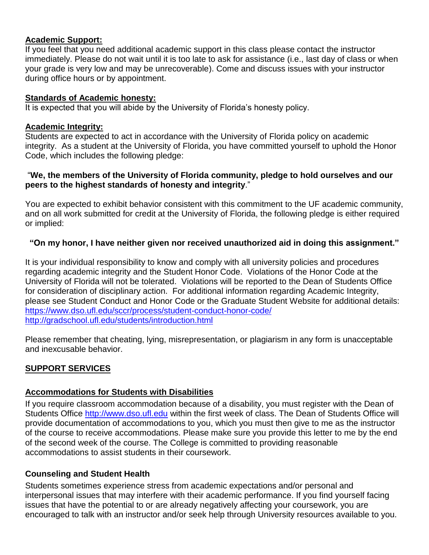### **Academic Support:**

If you feel that you need additional academic support in this class please contact the instructor immediately. Please do not wait until it is too late to ask for assistance (i.e., last day of class or when your grade is very low and may be unrecoverable). Come and discuss issues with your instructor during office hours or by appointment.

#### **Standards of Academic honesty:**

It is expected that you will abide by the University of Florida's honesty policy.

### **Academic Integrity:**

Students are expected to act in accordance with the University of Florida policy on academic integrity. As a student at the University of Florida, you have committed yourself to uphold the Honor Code, which includes the following pledge:

#### "**We, the members of the University of Florida community, pledge to hold ourselves and our peers to the highest standards of honesty and integrity**."

You are expected to exhibit behavior consistent with this commitment to the UF academic community, and on all work submitted for credit at the University of Florida, the following pledge is either required or implied:

# **"On my honor, I have neither given nor received unauthorized aid in doing this assignment."**

It is your individual responsibility to know and comply with all university policies and procedures regarding academic integrity and the Student Honor Code. Violations of the Honor Code at the University of Florida will not be tolerated. Violations will be reported to the Dean of Students Office for consideration of disciplinary action. For additional information regarding Academic Integrity, please see Student Conduct and Honor Code or the Graduate Student Website for additional details: <https://www.dso.ufl.edu/sccr/process/student-conduct-honor-code/> <http://gradschool.ufl.edu/students/introduction.html>

Please remember that cheating, lying, misrepresentation, or plagiarism in any form is unacceptable and inexcusable behavior.

# **SUPPORT SERVICES**

# **Accommodations for Students with Disabilities**

If you require classroom accommodation because of a disability, you must register with the Dean of Students Office [http://www.dso.ufl.edu](http://www.dso.ufl.edu/) within the first week of class. The Dean of Students Office will provide documentation of accommodations to you, which you must then give to me as the instructor of the course to receive accommodations. Please make sure you provide this letter to me by the end of the second week of the course. The College is committed to providing reasonable accommodations to assist students in their coursework.

# **Counseling and Student Health**

Students sometimes experience stress from academic expectations and/or personal and interpersonal issues that may interfere with their academic performance. If you find yourself facing issues that have the potential to or are already negatively affecting your coursework, you are encouraged to talk with an instructor and/or seek help through University resources available to you.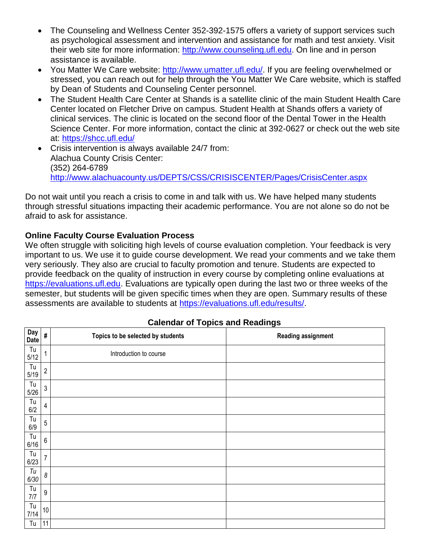- The Counseling and Wellness Center 352-392-1575 offers a variety of support services such as psychological assessment and intervention and assistance for math and test anxiety. Visit their web site for more information: [http://www.counseling.ufl.edu.](http://www.counseling.ufl.edu/) On line and in person assistance is available.
- You Matter We Care website: [http://www.umatter.ufl.edu/.](http://www.umatter.ufl.edu/) If you are feeling overwhelmed or stressed, you can reach out for help through the You Matter We Care website, which is staffed by Dean of Students and Counseling Center personnel.
- The Student Health Care Center at Shands is a satellite clinic of the main Student Health Care Center located on Fletcher Drive on campus. Student Health at Shands offers a variety of clinical services. The clinic is located on the second floor of the Dental Tower in the Health Science Center. For more information, contact the clinic at 392-0627 or check out the web site at: <https://shcc.ufl.edu/>
- Crisis intervention is always available 24/7 from: Alachua County Crisis Center: (352) 264-6789 <http://www.alachuacounty.us/DEPTS/CSS/CRISISCENTER/Pages/CrisisCenter.aspx>

Do not wait until you reach a crisis to come in and talk with us. We have helped many students through stressful situations impacting their academic performance. You are not alone so do not be afraid to ask for assistance.

# **Online Faculty Course Evaluation Process**

We often struggle with soliciting high levels of course evaluation completion. Your feedback is very important to us. We use it to guide course development. We read your comments and we take them very seriously. They also are crucial to faculty promotion and tenure. Students are expected to provide feedback on the quality of instruction in every course by completing online evaluations at [https://evaluations.ufl.edu.](https://evaluations.ufl.edu/) Evaluations are typically open during the last two or three weeks of the semester, but students will be given specific times when they are open. Summary results of these assessments are available to students at [https://evaluations.ufl.edu/results/.](https://evaluations.ufl.edu/results/)

| Day<br><b>Date</b>               | #                       | Topics to be selected by students | <b>Reading assignment</b> |
|----------------------------------|-------------------------|-----------------------------------|---------------------------|
| $\mathsf{T}\mathsf{u}$<br>$5/12$ | $\mathbf{1}$            | Introduction to course            |                           |
| Tu<br>$5/19$                     | $\sqrt{2}$              |                                   |                           |
| $\mathsf{T}\mathsf{u}$<br>$5/26$ | $\sqrt{3}$              |                                   |                           |
| Tu<br>$6/2$                      | $\overline{\mathbf{4}}$ |                                   |                           |
| $\mathsf{T}\mathsf{u}$<br>$6/9$  | $\sqrt{5}$              |                                   |                           |
| $\mathsf{T}\mathsf{u}$<br>$6/16$ | $\boldsymbol{6}$        |                                   |                           |
| Tu<br>6/23                       | $\overline{7}$          |                                   |                           |
| Tu<br>6/30                       | $\boldsymbol{\delta}$   |                                   |                           |
| $\mathsf{T}\mathsf{u}$<br>$7/7$  | $\boldsymbol{9}$        |                                   |                           |
| $\mathsf{T}\mathsf{u}$<br>7/14   | $10\,$                  |                                   |                           |
| Tu                               | 11                      |                                   |                           |

# **Calendar of Topics and Readings**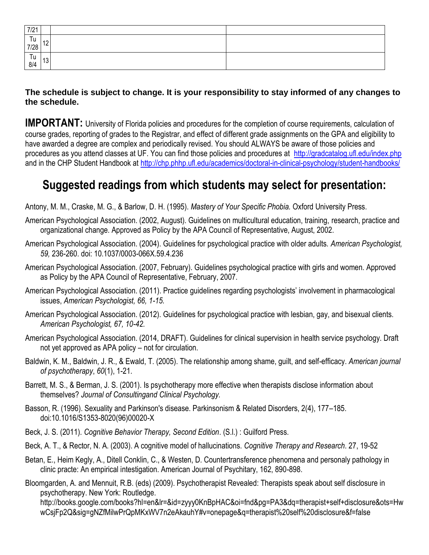| 7/21                                             |    |  |
|--------------------------------------------------|----|--|
| $\begin{bmatrix} 1 & 12 \\ 7 & 28 \end{bmatrix}$ |    |  |
| Tu<br>8/4                                        | 13 |  |

# **The schedule is subject to change. It is your responsibility to stay informed of any changes to the schedule.**

**IMPORTANT:** University of Florida policies and procedures for the completion of course requirements, calculation of course grades, reporting of grades to the Registrar, and effect of different grade assignments on the GPA and eligibility to have awarded a degree are complex and periodically revised. You should ALWAYS be aware of those policies and procedures as you attend classes at UF. You can find those policies and procedures at <http://gradcatalog.ufl.edu/index.php> and in the CHP Student Handbook at<http://chp.phhp.ufl.edu/academics/doctoral-in-clinical-psychology/student-handbooks/>

# **Suggested readings from which students may select for presentation:**

Antony, M. M., Craske, M. G., & Barlow, D. H. (1995). *Mastery of Your Specific Phobia.* Oxford University Press.

- American Psychological Association. (2002, August). Guidelines on multicultural education, training, research, practice and organizational change. Approved as Policy by the APA Council of Representative, August, 2002.
- American Psychological Association. (2004). Guidelines for psychological practice with older adults. *American Psychologist, 59,* 236-260. doi: 10.1037/0003-066X.59.4.236
- American Psychological Association. (2007, February). Guidelines psychological practice with girls and women. Approved as Policy by the APA Council of Representative, February, 2007.
- American Psychological Association. (2011). Practice guidelines regarding psychologists' involvement in pharmacological issues, *American Psychologist, 66, 1-15.*
- American Psychological Association. (2012). Guidelines for psychological practice with lesbian, gay, and bisexual clients. *American Psychologist, 67, 10-42.*
- American Psychological Association. (2014, DRAFT). Guidelines for clinical supervision in health service psychology. Draft not yet approved as APA policy – not for circulation.
- Baldwin, K. M., Baldwin, J. R., & Ewald, T. (2005). The relationship among shame, guilt, and self-efficacy. *American journal of psychotherapy*, *60*(1), 1-21.
- Barrett, M. S., & Berman, J. S. (2001). Is psychotherapy more effective when therapists disclose information about themselves? *Journal of Consultingand Clinical Psychology.*
- Basson, R. (1996). Sexuality and Parkinson's disease. Parkinsonism & Related Disorders, 2(4), 177–185. doi:10.1016/S1353-8020(96)00020-X
- Beck, J. S. (2011). *Cognitive Behavior Therapy, Second Edition*. (S.l.) : Guilford Press.
- Beck, A. T., & Rector, N. A. (2003). A cognitive model of hallucinations. *Cognitive Therapy and Research*. 27, 19-52
- Betan, E., Heim Kegly, A., Ditell Conklin, C., & Westen, D. Countertransference phenomena and personaly pathology in clinic practe: An empirical intestigation. American Journal of Psychitary, 162, 890-898.

Bloomgarden, A. and Mennuit, R.B. (eds) (2009). Psychotherapist Revealed: Therapists speak about self disclosure in psychotherapy. New York: Routledge.

http://books.google.com/books?hl=en&lr=&id=zyyy0KnBpHAC&oi=fnd&pg=PA3&dq=therapist+self+disclosure&ots=Hw wCsjFp2Q&sig=gNZfMilwPrQpMKxWV7n2eAkauhY#v=onepage&q=therapist%20self%20disclosure&f=false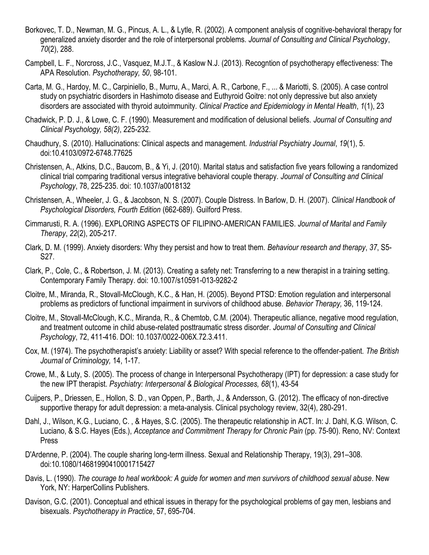- Borkovec, T. D., Newman, M. G., Pincus, A. L., & Lytle, R. (2002). A component analysis of cognitive-behavioral therapy for generalized anxiety disorder and the role of interpersonal problems. *Journal of Consulting and Clinical Psychology*, *70*(2), 288.
- Campbell, L. F., Norcross, J.C., Vasquez, M.J.T., & Kaslow N.J. (2013). Recogntion of psychotherapy effectiveness: The APA Resolution. *Psychotherapy, 50*, 98-101.
- Carta, M. G., Hardoy, M. C., Carpiniello, B., Murru, A., Marci, A. R., Carbone, F., ... & Mariotti, S. (2005). A case control study on psychiatric disorders in Hashimoto disease and Euthyroid Goitre: not only depressive but also anxiety disorders are associated with thyroid autoimmunity. *Clinical Practice and Epidemiology in Mental Health*, *1*(1), 23
- Chadwick, P. D. J., & Lowe, C. F. (1990). Measurement and modification of delusional beliefs. *Journal of Consulting and Clinical Psychology, 58(2)*, 225-232.
- Chaudhury, S. (2010). Hallucinations: Clinical aspects and management. *Industrial Psychiatry Journal*, *19*(1), 5. doi:10.4103/0972-6748.77625
- Christensen, A., Atkins, D.C., Baucom, B., & Yi, J. (2010). Marital status and satisfaction five years following a randomized clinical trial comparing traditional versus integrative behavioral couple therapy. *Journal of Consulting and Clinical Psychology*, 78, 225-235. doi: 10.1037/a0018132
- Christensen, A., Wheeler, J. G., & Jacobson, N. S. (2007). Couple Distress. In Barlow, D. H. (2007). *Clinical Handbook of Psychological Disorders, Fourth Edition* (662-689). Guilford Press.
- Cimmarusti, R. A. (1996). EXPLORING ASPECTS OF FILIPINO‐AMERICAN FAMILIES. *Journal of Marital and Family Therapy*, *22*(2), 205-217.
- Clark, D. M. (1999). Anxiety disorders: Why they persist and how to treat them. *Behaviour research and therapy*, *37*, S5- S27.
- Clark, P., Cole, C., & Robertson, J. M. (2013). Creating a safety net: Transferring to a new therapist in a training setting. Contemporary Family Therapy. doi: 10.1007/s10591-013-9282-2
- Cloitre, M., Miranda, R., Stovall-McClough, K.C., & Han, H. (2005). Beyond PTSD: Emotion regulation and interpersonal problems as predictors of functional impairment in survivors of childhood abuse. *Behavior Therapy,* 36, 119-124.
- Cloitre, M., Stovall-McClough, K.C., Miranda, R., & Chemtob, C.M. (2004). Therapeutic alliance, negative mood regulation, and treatment outcome in child abuse-related posttraumatic stress disorder. *Journal of Consulting and Clinical Psychology*, 72, 411-416. DOI: 10.1037/0022-006X.72.3.411.
- Cox, M. (1974). The psychotherapist's anxiety: Liability or asset? With special reference to the offender-patient. *The British Journal of Criminology,* 14, 1-17.
- Crowe, M., & Luty, S. (2005). The process of change in Interpersonal Psychotherapy (IPT) for depression: a case study for the new IPT therapist. *Psychiatry: Interpersonal & Biological Processes, 68*(1), 43-54
- Cuijpers, P., Driessen, E., Hollon, S. D., van Oppen, P., Barth, J., & Andersson, G. (2012). The efficacy of non-directive supportive therapy for adult depression: a meta-analysis. Clinical psychology review, 32(4), 280-291.
- Dahl, J., Wilson, K.G., Luciano, C. , & Hayes, S.C. (2005). The therapeutic relationship in ACT. In: J. Dahl, K.G. Wilson, C. Luciano, & S.C. Hayes (Eds.), *Acceptance and Commitment Therapy for Chronic Pain* (pp. 75-90). Reno, NV: Context Press
- D'Ardenne, P. (2004). The couple sharing long-term illness. Sexual and Relationship Therapy, 19(3), 291–308. doi:10.1080/14681990410001715427
- Davis, L. (1990). *The courage to heal workbook: A guide for women and men survivors of childhood sexual abuse*. New York, NY: HarperCollins Publishers.
- Davison, G.C. (2001). Conceptual and ethical issues in therapy for the psychological problems of gay men, lesbians and bisexuals. *Psychotherapy in Practice*, 57, 695-704.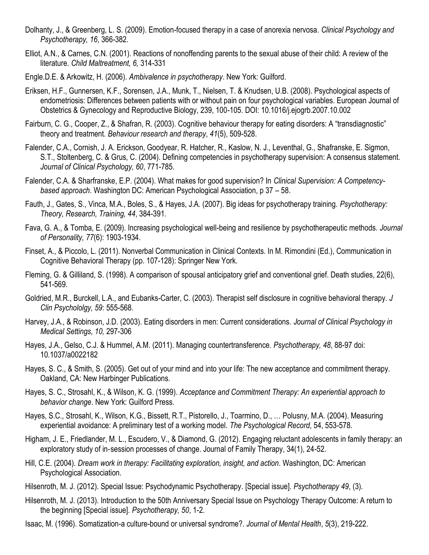- Dolhanty, J., & Greenberg, L. S. (2009). Emotion-focused therapy in a case of anorexia nervosa. *Clinical Psychology and Psychotherapy, 16*, 366-382.
- Elliot, A.N., & Carnes, C.N. (2001). Reactions of nonoffending parents to the sexual abuse of their child: A review of the literature. *Child Maltreatment, 6,* 314-331
- Engle.D.E. & Arkowitz, H. (2006). *Ambivalence in psychotherapy*. New York: Guilford.
- Eriksen, H.F., Gunnersen, K.F., Sorensen, J.A., Munk, T., Nielsen, T. & Knudsen, U.B. (2008). Psychological aspects of endometriosis: Differences between patients with or without pain on four psychological variables. European Journal of Obstetrics & Gynecology and Reproductive Biology, 239, 100-105. DOI: 10.1016/j.ejogrb.2007.10.002
- Fairburn, C. G., Cooper, Z., & Shafran, R. (2003). Cognitive behaviour therapy for eating disorders: A "transdiagnostic" theory and treatment. *Behaviour research and therapy*, *41*(5), 509-528.
- Falender, C.A., Cornish, J. A. Erickson, Goodyear, R. Hatcher, R., Kaslow, N. J., Leventhal, G., Shafranske, E. Sigmon, S.T., Stoltenberg, C. & Grus, C. (2004). Defining competencies in psychotherapy supervision: A consensus statement. *Journal of Clinical Psychology, 60*, 771-785.
- Falender, C.A. & Sharfranske, E.P. (2004). What makes for good supervision? In *Clinical Supervision: A Competencybased approach*. Washington DC: American Psychological Association, p 37 – 58.
- Fauth, J., Gates, S., Vinca, M.A., Boles, S., & Hayes, J.A. (2007). Big ideas for psychotherapy training. *Psychotherapy: Theory, Research, Training, 44*, 384-391.
- Fava, G. A., & Tomba, E. (2009). Increasing psychological well-being and resilience by psychotherapeutic methods. *Journal of Personality, 77*(6): 1903-1934.
- Finset, A., & Piccolo, L. (2011). Nonverbal Communication in Clinical Contexts. In M. Rimondini (Ed.), Communication in Cognitive Behavioral Therapy (pp. 107-128): Springer New York.
- Fleming, G. & Gilliland, S. (1998). A comparison of spousal anticipatory grief and conventional grief. Death studies, 22(6), 541-569.
- Goldried, M.R., Burckell, L.A., and Eubanks-Carter, C. (2003). Therapist self disclosure in cognitive behavioral therapy. *J Clin Psychololgy, 59*: 555-568.
- Harvey, J.A., & Robinson, J.D. (2003). Eating disorders in men: Current considerations. *Journal of Clinical Psychology in Medical Settings, 10,* 297-306
- Hayes, J.A., Gelso, C.J. & Hummel, A.M. (2011). Managing countertransference. *Psychotherapy, 48*, 88-97 doi: 10.1037/a0022182
- Hayes, S. C., & Smith, S. (2005). Get out of your mind and into your life: The new acceptance and commitment therapy. Oakland, CA: New Harbinger Publications.
- Hayes, S. C., Strosahl, K., & Wilson, K. G. (1999). *Acceptance and Commitment Therapy: An experiential approach to behavior change*. New York: Guilford Press.
- Hayes, S.C., Strosahl, K., Wilson, K.G., Bissett, R.T., Pistorello, J., Toarmino, D., … Polusny, M.A. (2004). Measuring experiential avoidance: A preliminary test of a working model. *The Psychological Record*, 54, 553-578.
- Higham, J. E., Friedlander, M. L., Escudero, V., & Diamond, G. (2012). Engaging reluctant adolescents in family therapy: an exploratory study of in-session processes of change. Journal of Family Therapy, 34(1), 24-52.
- Hill, C.E. (2004). *Dream work in therapy: Facilitating exploration, insight, and action*. Washington, DC: American Psychological Association.
- Hilsenroth, M. J. (2012). Special Issue: Psychodynamic Psychotherapy*.* [Special issue]. *Psychotherapy 49*, (3).
- Hilsenroth, M. J. (2013). Introduction to the 50th Anniversary Special Issue on Psychology Therapy Outcome: A return to the beginning [Special issue]. *Psychotherapy, 50*, 1-2.
- Isaac, M. (1996). Somatization-a culture-bound or universal syndrome?. *Journal of Mental Health*, *5*(3), 219-222.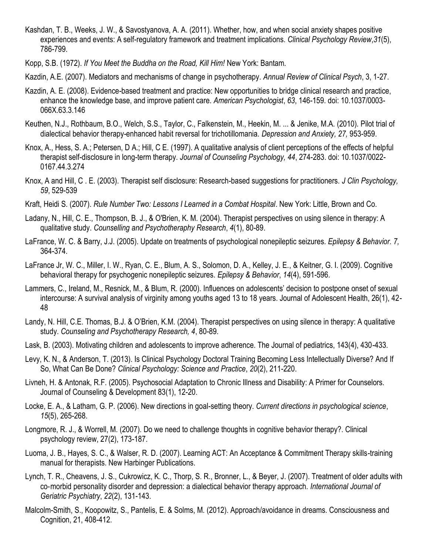- Kashdan, T. B., Weeks, J. W., & Savostyanova, A. A. (2011). Whether, how, and when social anxiety shapes positive experiences and events: A self-regulatory framework and treatment implications. *Clinical Psychology Review*,*31*(5), 786-799.
- Kopp, S.B. (1972). *If You Meet the Buddha on the Road, Kill Him!* New York: Bantam.
- Kazdin, A.E. (2007). Mediators and mechanisms of change in psychotherapy. *Annual Review of Clinical Psych*, 3, 1-27.
- Kazdin, A. E. (2008). Evidence-based treatment and practice: New opportunities to bridge clinical research and practice, enhance the knowledge base, and improve patient care. *American Psychologist*, *63*, 146-159. doi: 10.1037/0003- 066X.63.3.146
- Keuthen, N.J., Rothbaum, B.O., Welch, S.S., Taylor, C., Falkenstein, M., Heekin, M. ... & Jenike, M.A. (2010). Pilot trial of dialectical behavior therapy-enhanced habit reversal for trichotillomania. *Depression and Anxiety, 27,* 953-959.
- Knox, A., Hess, S. A.; Petersen, D A.; Hill, C E. (1997). A qualitative analysis of client perceptions of the effects of helpful therapist self-disclosure in long-term therapy. *Journal of Counseling Psychology, 44*, 274-283. doi: 10.1037/0022- 0167.44.3.274
- Knox, A and Hill, C . E. (2003). Therapist self disclosure: Research-based suggestions for practitioners. *J Clin Psychology, 59*, 529-539
- Kraft, Heidi S. (2007). *Rule Number Two: Lessons I Learned in a Combat Hospital*. New York: Little, Brown and Co.
- Ladany, N., Hill, C. E., Thompson, B. J., & O'Brien, K. M. (2004). Therapist perspectives on using silence in therapy: A qualitative study. *Counselling and Psychotheraphy Research*, *4*(1), 80-89.
- LaFrance, W. C. & Barry, J.J. (2005). Update on treatments of psychological nonepileptic seizures. *Epilepsy & Behavior. 7,*  364-374.
- LaFrance Jr, W. C., Miller, I. W., Ryan, C. E., Blum, A. S., Solomon, D. A., Kelley, J. E., & Keitner, G. I. (2009). Cognitive behavioral therapy for psychogenic nonepileptic seizures. *Epilepsy & Behavior*, *14*(4), 591-596.
- Lammers, C., Ireland, M., Resnick, M., & Blum, R. (2000). Influences on adolescents' decision to postpone onset of sexual intercourse: A survival analysis of virginity among youths aged 13 to 18 years. Journal of Adolescent Health, 26(1), 42- 48
- Landy, N. Hill, C.E. Thomas, B.J. & O'Brien, K.M. (2004). Therapist perspectives on using silence in therapy: A qualitative study. *Counseling and Psychotherapy Research, 4*, 80-89.
- Lask, B. (2003). Motivating children and adolescents to improve adherence. The Journal of pediatrics, 143(4), 430-433.
- Levy, K. N., & Anderson, T. (2013). Is Clinical Psychology Doctoral Training Becoming Less Intellectually Diverse? And If So, What Can Be Done? *Clinical Psychology: Science and Practice*, *20*(2), 211-220.
- Livneh, H. & Antonak, R.F. (2005). Psychosocial Adaptation to Chronic Illness and Disability: A Primer for Counselors. Journal of Counseling & Development 83(1), 12-20.
- Locke, E. A., & Latham, G. P. (2006). New directions in goal-setting theory. *Current directions in psychological science*, *15*(5), 265-268.
- Longmore, R. J., & Worrell, M. (2007). Do we need to challenge thoughts in cognitive behavior therapy?. Clinical psychology review, 27(2), 173-187.
- Luoma, J. B., Hayes, S. C., & Walser, R. D. (2007). Learning ACT: An Acceptance & Commitment Therapy skills-training manual for therapists. New Harbinger Publications.
- Lynch, T. R., Cheavens, J. S., Cukrowicz, K. C., Thorp, S. R., Bronner, L., & Beyer, J. (2007). Treatment of older adults with co‐morbid personality disorder and depression: a dialectical behavior therapy approach. *International Journal of Geriatric Psychiatry*, *22*(2), 131-143.
- Malcolm-Smith, S., Koopowitz, S., Pantelis, E. & Solms, M. (2012). Approach/avoidance in dreams. Consciousness and Cognition, 21, 408-412.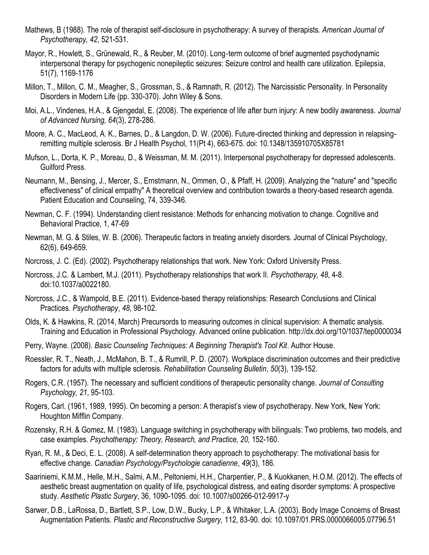- Mathews, B (1988). The role of therapist self-disclosure in psychotherapy: A survey of therapists. *American Journal of Psychotherapy, 42*, 521-531.
- Mayor, R., Howlett, S., Grünewald, R., & Reuber, M. (2010). Long‐term outcome of brief augmented psychodynamic interpersonal therapy for psychogenic nonepileptic seizures: Seizure control and health care utilization. Epilepsia, 51(7), 1169-1176
- Millon, T., Millon, C. M., Meagher, S., Grossman, S., & Ramnath, R. (2012). The Narcissistic Personality. In Personality Disorders in Modern Life (pp. 330-370). John Wiley & Sons.
- Moi, A.L., Vindenes, H.A., & Gjengedal, E. (2008). The experience of life after burn injury: A new bodily awareness. *Journal of Advanced Nursing, 64*(3), 278-286.
- Moore, A. C., MacLeod, A. K., Barnes, D., & Langdon, D. W. (2006). Future-directed thinking and depression in relapsingremitting multiple sclerosis. Br J Health Psychol, 11(Pt 4), 663-675. doi: 10.1348/135910705X85781
- Mufson, L., Dorta, K. P., Moreau, D., & Weissman, M. M. (2011). Interpersonal psychotherapy for depressed adolescents. Guilford Press.
- Neumann, M., Bensing, J., Mercer, S., Ernstmann, N., Ommen, O., & Pfaff, H. (2009). Analyzing the "nature" and "specific effectiveness" of clinical empathy" A theoretical overview and contribution towards a theory-based research agenda. Patient Education and Counseling, 74, 339-346.
- Newman, C. F. (1994). Understanding client resistance: Methods for enhancing motivation to change. Cognitive and Behavioral Practice, 1, 47-69
- Newman, M. G. & Stiles, W. B. (2006). Therapeutic factors in treating anxiety disorders. Journal of Clinical Psychology, 62(6), 649-659.
- Norcross, J. C. (Ed). (2002). Psychotherapy relationships that work. New York: Oxford University Press.
- Norcross, J.C. & Lambert, M.J. (2011). Psychotherapy relationships that work II. *Psychotherapy, 48*, 4-8. doi:10.1037/a0022180.
- Norcross, J.C., & Wampold, B.E. (2011). Evidence-based therapy relationships: Research Conclusions and Clinical Practices. *Psychotherapy*, *48*, 98-102.
- Olds, K. & Hawkins, R. (2014, March) Precursords to measuring outcomes in clinical supervision: A thematic analysis. Training and Education in Professional Psychology. Advanced online publication. http://dx.doi.org/10/1037/tep0000034
- Perry, Wayne. (2008). *Basic Counseling Techniques: A Beginning Therapist's Tool Kit*. Author House.
- Roessler, R. T., Neath, J., McMahon, B. T., & Rumrill, P. D. (2007). Workplace discrimination outcomes and their predictive factors for adults with multiple sclerosis. *Rehabilitation Counseling Bulletin*, *50*(3), 139-152.
- Rogers, C.R. (1957). The necessary and sufficient conditions of therapeutic personality change. *Journal of Consulting Psychology, 21*, 95-103.
- Rogers, Carl. (1961, 1989, 1995). On becoming a person: A therapist's view of psychotherapy. New York, New York: Houghton Mifflin Company.
- Rozensky, R.H. & Gomez, M. (1983). Language switching in psychotherapy with bilinguals: Two problems, two models, and case examples. *Psychotherapy: Theory, Research, and Practice, 20,* 152-160.
- Ryan, R. M., & Deci, E. L. (2008). A self-determination theory approach to psychotherapy: The motivational basis for effective change. *Canadian Psychology/Psychologie canadienne*, *49*(3), 186.
- Saariniemi, K.M.M., Helle, M.H., Salmi, A.M., Peltoniemi, H.H., Charpentier, P., & Kuokkanen, H.O.M. (2012). The effects of aesthetic breast augmentation on quality of life, psychological distress, and eating disorder symptoms: A prospective study. *Aesthetic Plastic Surgery*, 36, 1090-1095. doi: 10.1007/s00266-012-9917-y
- Sarwer, D.B., LaRossa, D., Bartlett, S.P., Low, D.W., Bucky, L.P., & Whitaker, L.A. (2003). Body Image Concerns of Breast Augmentation Patients. *Plastic and Reconstructive Surgery,* 112, 83-90. doi: 10.1097/01.PRS.0000066005.07796.51